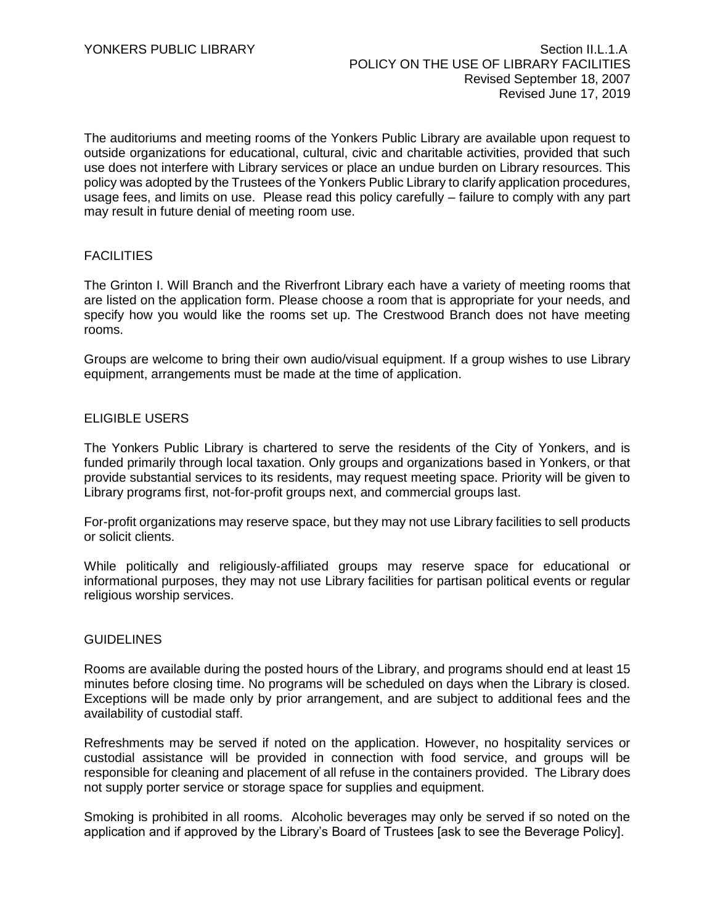The auditoriums and meeting rooms of the Yonkers Public Library are available upon request to outside organizations for educational, cultural, civic and charitable activities, provided that such use does not interfere with Library services or place an undue burden on Library resources. This policy was adopted by the Trustees of the Yonkers Public Library to clarify application procedures, usage fees, and limits on use. Please read this policy carefully – failure to comply with any part may result in future denial of meeting room use.

# **FACILITIES**

The Grinton I. Will Branch and the Riverfront Library each have a variety of meeting rooms that are listed on the application form. Please choose a room that is appropriate for your needs, and specify how you would like the rooms set up. The Crestwood Branch does not have meeting rooms.

Groups are welcome to bring their own audio/visual equipment. If a group wishes to use Library equipment, arrangements must be made at the time of application.

# ELIGIBLE USERS

The Yonkers Public Library is chartered to serve the residents of the City of Yonkers, and is funded primarily through local taxation. Only groups and organizations based in Yonkers, or that provide substantial services to its residents, may request meeting space. Priority will be given to Library programs first, not-for-profit groups next, and commercial groups last.

For-profit organizations may reserve space, but they may not use Library facilities to sell products or solicit clients.

While politically and religiously-affiliated groups may reserve space for educational or informational purposes, they may not use Library facilities for partisan political events or regular religious worship services.

#### **GUIDELINES**

Rooms are available during the posted hours of the Library, and programs should end at least 15 minutes before closing time. No programs will be scheduled on days when the Library is closed. Exceptions will be made only by prior arrangement, and are subject to additional fees and the availability of custodial staff.

Refreshments may be served if noted on the application. However, no hospitality services or custodial assistance will be provided in connection with food service, and groups will be responsible for cleaning and placement of all refuse in the containers provided. The Library does not supply porter service or storage space for supplies and equipment.

Smoking is prohibited in all rooms. Alcoholic beverages may only be served if so noted on the application and if approved by the Library's Board of Trustees [ask to see the Beverage Policy].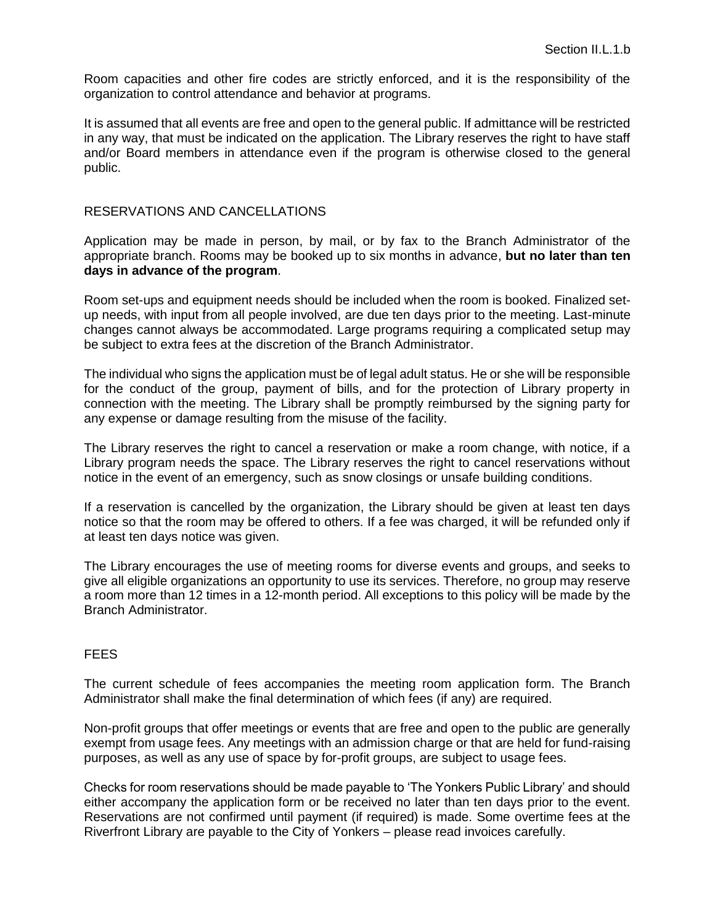Room capacities and other fire codes are strictly enforced, and it is the responsibility of the organization to control attendance and behavior at programs.

It is assumed that all events are free and open to the general public. If admittance will be restricted in any way, that must be indicated on the application. The Library reserves the right to have staff and/or Board members in attendance even if the program is otherwise closed to the general public.

### RESERVATIONS AND CANCELLATIONS

Application may be made in person, by mail, or by fax to the Branch Administrator of the appropriate branch. Rooms may be booked up to six months in advance, **but no later than ten days in advance of the program**.

Room set-ups and equipment needs should be included when the room is booked. Finalized setup needs, with input from all people involved, are due ten days prior to the meeting. Last-minute changes cannot always be accommodated. Large programs requiring a complicated setup may be subject to extra fees at the discretion of the Branch Administrator.

The individual who signs the application must be of legal adult status. He or she will be responsible for the conduct of the group, payment of bills, and for the protection of Library property in connection with the meeting. The Library shall be promptly reimbursed by the signing party for any expense or damage resulting from the misuse of the facility.

The Library reserves the right to cancel a reservation or make a room change, with notice, if a Library program needs the space. The Library reserves the right to cancel reservations without notice in the event of an emergency, such as snow closings or unsafe building conditions.

If a reservation is cancelled by the organization, the Library should be given at least ten days notice so that the room may be offered to others. If a fee was charged, it will be refunded only if at least ten days notice was given.

The Library encourages the use of meeting rooms for diverse events and groups, and seeks to give all eligible organizations an opportunity to use its services. Therefore, no group may reserve a room more than 12 times in a 12-month period. All exceptions to this policy will be made by the Branch Administrator.

## FEES

The current schedule of fees accompanies the meeting room application form. The Branch Administrator shall make the final determination of which fees (if any) are required.

Non-profit groups that offer meetings or events that are free and open to the public are generally exempt from usage fees. Any meetings with an admission charge or that are held for fund-raising purposes, as well as any use of space by for-profit groups, are subject to usage fees.

Checks for room reservations should be made payable to 'The Yonkers Public Library' and should either accompany the application form or be received no later than ten days prior to the event. Reservations are not confirmed until payment (if required) is made. Some overtime fees at the Riverfront Library are payable to the City of Yonkers – please read invoices carefully.